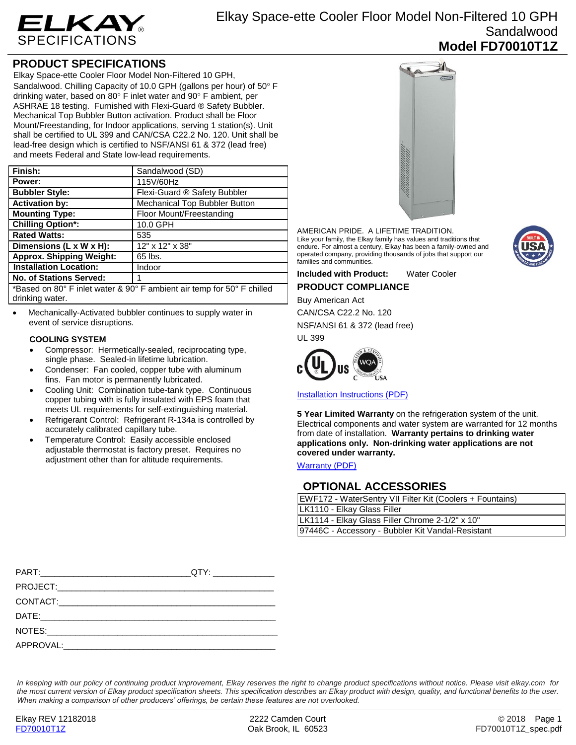

## **PRODUCT SPECIFICATIONS**

Elkay Space-ette Cooler Floor Model Non-Filtered 10 GPH, Sandalwood. Chilling Capacity of 10.0 GPH (gallons per hour) of 50° F drinking water, based on 80 $\degree$  F inlet water and 90 $\degree$  F ambient, per ASHRAE 18 testing. Furnished with Flexi-Guard ® Safety Bubbler. Mechanical Top Bubbler Button activation. Product shall be Floor Mount/Freestanding, for Indoor applications, serving 1 station(s). Unit shall be certified to UL 399 and CAN/CSA C22.2 No. 120. Unit shall be lead-free design which is certified to NSF/ANSI 61 & 372 (lead free) and meets Federal and State low-lead requirements.

| Finish:                                                                                     | Sandalwood (SD)               |
|---------------------------------------------------------------------------------------------|-------------------------------|
| Power:                                                                                      | 115V/60Hz                     |
| <b>Bubbler Style:</b>                                                                       | Flexi-Guard ® Safety Bubbler  |
| <b>Activation by:</b>                                                                       | Mechanical Top Bubbler Button |
| <b>Mounting Type:</b>                                                                       | Floor Mount/Freestanding      |
| <b>Chilling Option*:</b>                                                                    | 10.0 GPH                      |
| <b>Rated Watts:</b>                                                                         | 535                           |
| Dimensions (L x W x H):                                                                     | 12" x 12" x 38"               |
| <b>Approx. Shipping Weight:</b>                                                             | 65 lbs.                       |
| <b>Installation Location:</b>                                                               | Indoor                        |
| No. of Stations Served:                                                                     | 1                             |
| *Based on $90^\circ$ E inlet water $8,00^\circ$ E ambient air temp for $50^\circ$ E chilled |                               |

Based on 80° F inlet water & 90° F ambient air temp for 50° drinking water.

 Mechanically-Activated bubbler continues to supply water in event of service disruptions.

#### **COOLING SYSTEM**

- Compressor: Hermetically-sealed, reciprocating type, single phase. Sealed-in lifetime lubrication.
- Condenser: Fan cooled, copper tube with aluminum fins. Fan motor is permanently lubricated.
- Cooling Unit: Combination tube-tank type. Continuous copper tubing with is fully insulated with EPS foam that meets UL requirements for self-extinguishing material.
- Refrigerant Control: Refrigerant R-134a is controlled by accurately calibrated capillary tube.
- Temperature Control: Easily accessible enclosed adjustable thermostat is factory preset. Requires no adjustment other than for altitude requirements.



AMERICAN PRIDE. A LIFETIME TRADITION. Like your family, the Elkay family has values and traditions that endure. For almost a century, Elkay has been a family-owned and operated company, providing thousands of jobs that support our families and communities.

**Included with Product:** Water Cooler **PRODUCT COMPLIANCE**

Buy American Act

CAN/CSA C22.2 No. 120 NSF/ANSI 61 & 372 (lead free) UL 399



[Installation Instructions \(PDF\)](http://www.elkay.com/wcsstore/lkdocs/care-cleaning-install-warranty-sheets/98640c.pdf)

**5 Year Limited Warranty** on the refrigeration system of the unit. Electrical components and water system are warranted for 12 months from date of installation. **Warranty pertains to drinking water applications only. Non-drinking water applications are not covered under warranty.**

[Warranty](http://www.elkay.com/wcsstore/lkdocs/care-cleaning-install-warranty-sheets/96993c.pdf) (PDF)

### **OPTIONAL ACCESSORIES**

| EWF172 - WaterSentry VII Filter Kit (Coolers + Fountains) |  |  |
|-----------------------------------------------------------|--|--|
| LK1110 - Elkay Glass Filler                               |  |  |
| LK1114 - Elkay Glass Filler Chrome 2-1/2" x 10"           |  |  |
| 97446C - Accessory - Bubbler Kit Vandal-Resistant         |  |  |

*In keeping with our policy of continuing product improvement, Elkay reserves the right to change product specifications without notice. Please visit elkay.com for the most current version of Elkay product specification sheets. This specification describes an Elkay product with design, quality, and functional benefits to the user. When making a comparison of other producers' offerings, be certain these features are not overlooked.*